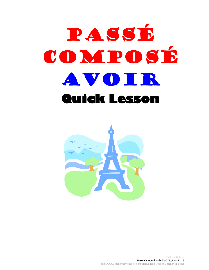## Passé COMPOSÉ avoir **Quick Lesson**

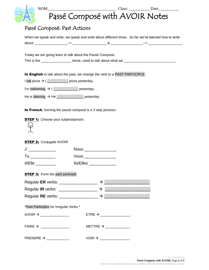| NOM:                                                            | Passé Composé with AVOIR Notes                                                                                                                                                                                                                                                                                                                                                                              |
|-----------------------------------------------------------------|-------------------------------------------------------------------------------------------------------------------------------------------------------------------------------------------------------------------------------------------------------------------------------------------------------------------------------------------------------------------------------------------------------------|
| Passé Composé: Past Actions                                     |                                                                                                                                                                                                                                                                                                                                                                                                             |
|                                                                 | When we speak and write, we speak and write about different times. So far we've learned how to write                                                                                                                                                                                                                                                                                                        |
|                                                                 |                                                                                                                                                                                                                                                                                                                                                                                                             |
|                                                                 | Today we are going learn to talk about the Passé Composé.                                                                                                                                                                                                                                                                                                                                                   |
|                                                                 | This is the ____________________ tense, used to talk about what we ____________________________.                                                                                                                                                                                                                                                                                                            |
|                                                                 | In English to talk about the past, we change the verb to a PAST PARTICIPLE:                                                                                                                                                                                                                                                                                                                                 |
| l eat pizza → l ___________ pizza yesterday.                    |                                                                                                                                                                                                                                                                                                                                                                                                             |
| I'm swimming. $\rightarrow$ I ______________________ yesterday. |                                                                                                                                                                                                                                                                                                                                                                                                             |
|                                                                 |                                                                                                                                                                                                                                                                                                                                                                                                             |
| <b>STEP 2:</b> Conjugate AVOIR                                  |                                                                                                                                                                                                                                                                                                                                                                                                             |
| J'                                                              | Nous                                                                                                                                                                                                                                                                                                                                                                                                        |
|                                                                 |                                                                                                                                                                                                                                                                                                                                                                                                             |
| II/Elle                                                         | $\textsf{lls/Elles}\_\_\_\_\_\_\_\_\_\_\_\_\_\_\_\_\_\_\_\_\_\_\_\_\_$                                                                                                                                                                                                                                                                                                                                      |
| <b>STEP 3:</b> Form the past participle                         |                                                                                                                                                                                                                                                                                                                                                                                                             |
|                                                                 | Regular ER verbs: $\qquad \qquad$ $\rightarrow$ $\qquad \qquad$                                                                                                                                                                                                                                                                                                                                             |
|                                                                 | Regular IR verbs: $\frac{1}{2}$ $\rightarrow$ $\frac{1}{2}$ $\rightarrow$ $\frac{1}{2}$ $\rightarrow$ $\frac{1}{2}$ $\rightarrow$ $\frac{1}{2}$ $\rightarrow$ $\frac{1}{2}$ $\rightarrow$ $\frac{1}{2}$ $\rightarrow$ $\frac{1}{2}$ $\rightarrow$ $\frac{1}{2}$ $\rightarrow$ $\frac{1}{2}$ $\rightarrow$ $\frac{1}{2}$ $\rightarrow$ $\frac{1}{2}$ $\rightarrow$ $\frac{1}{2}$ $\rightarrow$ $\frac{1}{2}$ |
|                                                                 |                                                                                                                                                                                                                                                                                                                                                                                                             |
| *Past Participles for Irregular Verbs *                         |                                                                                                                                                                                                                                                                                                                                                                                                             |
| $AVOIR \rightarrow$                                             | $ETRE \rightarrow$                                                                                                                                                                                                                                                                                                                                                                                          |
| $FAIRE \rightarrow$                                             | METTRE $\rightarrow$ ______________                                                                                                                                                                                                                                                                                                                                                                         |
|                                                                 |                                                                                                                                                                                                                                                                                                                                                                                                             |